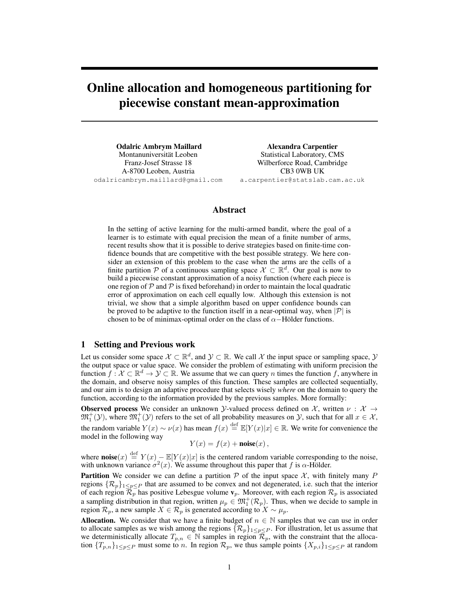# Online allocation and homogeneous partitioning for piecewise constant mean-approximation

Odalric Ambrym Maillard Montanuniversitat Leoben ¨ Franz-Josef Strasse 18 A-8700 Leoben, Austria odalricambrym.maillard@gmail.com Alexandra Carpentier Statistical Laboratory, CMS Wilberforce Road, Cambridge CB3 0WB UK a.carpentier@statslab.cam.ac.uk

## Abstract

In the setting of active learning for the multi-armed bandit, where the goal of a learner is to estimate with equal precision the mean of a finite number of arms, recent results show that it is possible to derive strategies based on finite-time confidence bounds that are competitive with the best possible strategy. We here consider an extension of this problem to the case when the arms are the cells of a finite partition P of a continuous sampling space  $\mathcal{X} \subset \mathbb{R}^d$ . Our goal is now to build a piecewise constant approximation of a noisy function (where each piece is one region of  $\mathcal P$  and  $\mathcal P$  is fixed beforehand) in order to maintain the local quadratic error of approximation on each cell equally low. Although this extension is not trivial, we show that a simple algorithm based on upper confidence bounds can be proved to be adaptive to the function itself in a near-optimal way, when  $|\mathcal{P}|$  is chosen to be of minimax-optimal order on the class of  $\alpha$ −Hölder functions.

### 1 Setting and Previous work

Let us consider some space  $\mathcal{X} \subset \mathbb{R}^d$ , and  $\mathcal{Y} \subset \mathbb{R}$ . We call X the input space or sampling space,  $\mathcal{Y}$ the output space or value space. We consider the problem of estimating with uniform precision the function  $f: \mathcal{X} \subset \mathbb{R}^d \to \mathcal{Y} \subset \mathbb{R}$ . We assume that we can query n times the function f, anywhere in the domain, and observe noisy samples of this function. These samples are collected sequentially, and our aim is to design an adaptive procedure that selects wisely *where* on the domain to query the function, according to the information provided by the previous samples. More formally:

**Observed process** We consider an unknown *Y*-valued process defined on  $\mathcal{X}$ , written  $\nu : \mathcal{X} \rightarrow$  $\mathfrak{M}^+_1(\mathcal{Y})$ , where  $\mathfrak{M}^+_1(\mathcal{Y})$  refers to the set of all probability measures on  $\mathcal{Y}$ , such that for all  $x \in \mathcal{X}$ , the random variable  $Y(x) \sim \nu(x)$  has mean  $f(x) \stackrel{\text{def}}{=} \mathbb{E}[Y(x)|x] \in \mathbb{R}$ . We write for convenience the model in the following way

 $Y(x) = f(x) + \text{noise}(x),$ 

where **noise** $(x) \stackrel{\text{def}}{=} Y(x) - \mathbb{E}[Y(x)|x]$  is the centered random variable corresponding to the noise, with unknown variance  $\sigma^2(x)$ . We assume throughout this paper that f is  $\alpha$ -Hölder.

**Partition** We consider we can define a partition P of the input space  $\mathcal{X}$ , with finitely many P regions  $\{\mathcal{R}_p\}_{1\leq p\leq P}$  that are assumed to be convex and not degenerated, i.e. such that the interior of each region  $\mathcal{R}_p$  has positive Lebesgue volume  $\mathbf{v}_p$ . Moreover, with each region  $\mathcal{R}_p$  is associated a sampling distribution in that region, written  $\mu_p \in \mathfrak{M}^+_1(\mathcal{R}_p)$ . Thus, when we decide to sample in region  $\mathcal{R}_p$ , a new sample  $X \in \mathcal{R}_p$  is generated according to  $X \sim \mu_p$ .

**Allocation.** We consider that we have a finite budget of  $n \in \mathbb{N}$  samples that we can use in order to allocate samples as we wish among the regions  $\{\mathcal{R}_p\}_{1\leq p\leq P}$ . For illustration, let us assume that we deterministically allocate  $T_{p,n} \in \mathbb{N}$  samples in region  $\mathcal{R}_p$ , with the constraint that the allocation  $\{T_{p,n}\}_{1\leq p\leq P}$  must some to n. In region  $\mathcal{R}_p$ , we thus sample points  $\{X_{p,i}\}_{1\leq p\leq P}$  at random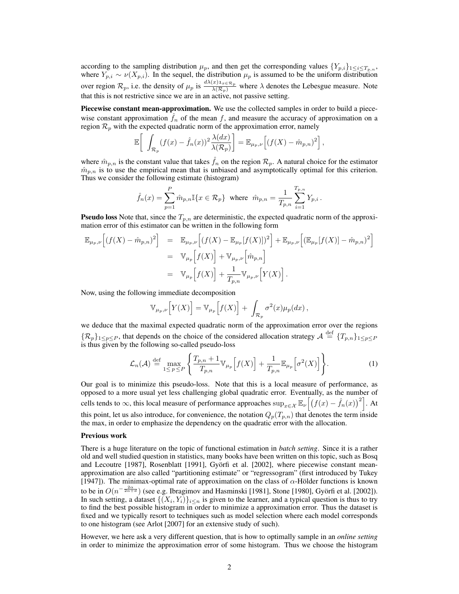according to the sampling distribution  $\mu_p$ , and then get the corresponding values  $\{Y_{p,i}\}_{1\leq i\leq T_{p,n}}$ , where  $Y_{p,i} \sim \nu(X_{p,i})$ . In the sequel, the distribution  $\mu_p$  is assumed to be the uniform distribution over region  $\mathcal{R}_p$ , i.e. the density of  $\mu_p$  is  $\frac{d\lambda(x)1_{x\in\mathcal{R}_p}}{\lambda(\mathcal{R}_p)}$  where  $\lambda$  denotes the Lebesgue measure. Note that this is not restrictive since we are in an active, not passive setting.

Piecewise constant mean-approximation. We use the collected samples in order to build a piecewise constant approximation  $f_n$  of the mean f, and measure the accuracy of approximation on a region  $\mathcal{R}_p$  with the expected quadratic norm of the approximation error, namely

$$
\mathbb{E}\bigg[\int_{\mathcal{R}_p} (f(x) - \hat{f}_n(x))^2 \frac{\lambda(dx)}{\lambda(\mathcal{R}_p)}\bigg] = \mathbb{E}_{\mu_p,\nu}\Big[(f(X) - \hat{m}_{p,n})^2\Big],
$$

where  $\hat{m}_{p,n}$  is the constant value that takes  $\hat{f}_n$  on the region  $\mathcal{R}_p$ . A natural choice for the estimator  $\hat{m}_{n,n}$  is to use the empirical mean that is unbiased and asymptotically optimal for this criterion. Thus we consider the following estimate (histogram)

$$
\hat{f}_n(x) = \sum_{p=1}^P \hat{m}_{p,n} \mathbb{I}\{x \in \mathcal{R}_p\} \text{ where } \hat{m}_{p,n} = \frac{1}{T_{p,n}} \sum_{i=1}^{T_{p,n}} Y_{p,i}.
$$

**Pseudo loss** Note that, since the  $T_{p,n}$  are deterministic, the expected quadratic norm of the approximation error of this estimator can be written in the following form

$$
\mathbb{E}_{\mu_p,\nu} \Big[ (f(X) - \hat{m}_{p,n})^2 \Big] = \mathbb{E}_{\mu_p,\nu} \Big[ (f(X) - \mathbb{E}_{\mu_p} [f(X)])^2 \Big] + \mathbb{E}_{\mu_p,\nu} \Big[ (\mathbb{E}_{\mu_p} [f(X)] - \hat{m}_{p,n})^2 \Big] \n= \mathbb{V}_{\mu_p} \Big[ f(X) \Big] + \mathbb{V}_{\mu_p,\nu} \Big[ \hat{m}_{p,n} \Big] \n= \mathbb{V}_{\mu_p} \Big[ f(X) \Big] + \frac{1}{T_{p,n}} \mathbb{V}_{\mu_p,\nu} \Big[ Y(X) \Big].
$$

Now, using the following immediate decomposition

$$
\mathbb{V}_{\mu_p,\nu}\Big[Y(X)\Big] = \mathbb{V}_{\mu_p}\Big[f(X)\Big] + \int_{\mathcal{R}_p} \sigma^2(x) \mu_p(dx),
$$

we deduce that the maximal expected quadratic norm of the approximation error over the regions  $\{\mathcal{R}_p\}_{1\leq p\leq P}$ , that depends on the choice of the considered allocation strategy  $\mathcal{A} \stackrel{\text{def}}{=} \{T_{p,n}\}_{1\leq p\leq P}$ is thus given by the following so-called pseudo-loss

$$
\mathcal{L}_n(\mathcal{A}) \stackrel{\text{def}}{=} \max_{1 \le p \le P} \left\{ \frac{T_{p,n} + 1}{T_{p,n}} \mathbb{V}_{\mu_p} \left[ f(X) \right] + \frac{1}{T_{p,n}} \mathbb{E}_{\mu_p} \left[ \sigma^2(X) \right] \right\}.
$$
 (1)

Our goal is to minimize this pseudo-loss. Note that this is a local measure of performance, as opposed to a more usual yet less challenging global quadratic error. Eventually, as the number of cells tends to  $\infty$ , this local measure of performance approaches  $\sup_{x \in \mathcal{X}} \mathbb{E}_{\nu} \left[ \left( f(x) - \hat{f}_n(x) \right)^2 \right]$ . At this point, let us also introduce, for convenience, the notation  $Q_p(T_{p,n})$  that denotes the term inside the max, in order to emphasize the dependency on the quadratic error with the allocation.

#### Previous work

There is a huge literature on the topic of functional estimation in *batch setting*. Since it is a rather old and well studied question in statistics, many books have been written on this topic, such as Bosq and Lecoutre [1987], Rosenblatt [1991], Györfi et al. [2002], where piecewise constant meanapproximation are also called "partitioning estimate" or "regressogram" (first introduced by Tukey [1947]). The minimax-optimal rate of approximation on the class of  $\alpha$ -Hölder functions is known to be in  $O(n^{-\frac{2\alpha}{2\alpha+d}})$  (see e.g. Ibragimov and Hasminski [1981], Stone [1980], Györfi et al. [2002]). In such setting, a dataset  $\{(X_i, Y_i)\}_{i \leq n}$  is given to the learner, and a typical question is thus to try to find the best possible histogram in order to minimize a approximation error. Thus the dataset is fixed and we typically resort to techniques such as model selection where each model corresponds to one histogram (see Arlot [2007] for an extensive study of such).

However, we here ask a very different question, that is how to optimally sample in an *online setting* in order to minimize the approximation error of some histogram. Thus we choose the histogram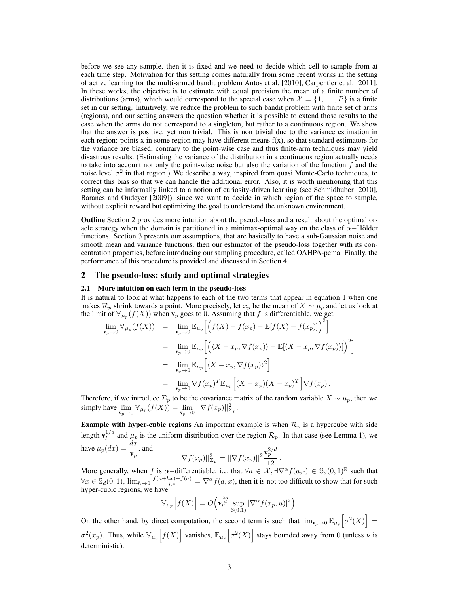before we see any sample, then it is fixed and we need to decide which cell to sample from at each time step. Motivation for this setting comes naturally from some recent works in the setting of active learning for the multi-armed bandit problem Antos et al. [2010], Carpentier et al. [2011]. In these works, the objective is to estimate with equal precision the mean of a finite number of distributions (arms), which would correspond to the special case when  $\mathcal{X} = \{1, \ldots, P\}$  is a finite set in our setting. Intuitively, we reduce the problem to such bandit problem with finite set of arms (regions), and our setting answers the question whether it is possible to extend those results to the case when the arms do not correspond to a singleton, but rather to a continuous region. We show that the answer is positive, yet non trivial. This is non trivial due to the variance estimation in each region: points x in some region may have different means  $f(x)$ , so that standard estimators for the variance are biased, contrary to the point-wise case and thus finite-arm techniques may yield disastrous results. (Estimating the variance of the distribution in a continuous region actually needs to take into account not only the point-wise noise but also the variation of the function  $f$  and the noise level  $\sigma^2$  in that region.) We describe a way, inspired from quasi Monte-Carlo techniques, to correct this bias so that we can handle the additional error. Also, it is worth mentioning that this setting can be informally linked to a notion of curiosity-driven learning (see Schmidhuber [2010], Baranes and Oudeyer [2009]), since we want to decide in which region of the space to sample, without explicit reward but optimizing the goal to understand the unknown environment.

Outline Section 2 provides more intuition about the pseudo-loss and a result about the optimal oracle strategy when the domain is partitioned in a minimax-optimal way on the class of  $\alpha$ −Hölder functions. Section 3 presents our assumptions, that are basically to have a sub-Gaussian noise and smooth mean and variance functions, then our estimator of the pseudo-loss together with its concentration properties, before introducing our sampling procedure, called OAHPA-pcma. Finally, the performance of this procedure is provided and discussed in Section 4.

### 2 The pseudo-loss: study and optimal strategies

### 2.1 More intuition on each term in the pseudo-loss

It is natural to look at what happens to each of the two terms that appear in equation 1 when one makes  $\mathcal{R}_p$  shrink towards a point. More precisely, let  $x_p$  be the mean of  $X \sim \mu_p$  and let us look at the limit of  $\mathbb{V}_{\mu_p}(f(X))$  when  $\mathbf{v}_p$  goes to 0. Assuming that f is differentiable, we get

$$
\lim_{\mathbf{v}_p \to 0} \mathbb{V}_{\mu_p}(f(X)) = \lim_{\mathbf{v}_p \to 0} \mathbb{E}_{\mu_p} \Big[ \Big( f(X) - f(x_p) - \mathbb{E}[f(X) - f(x_p)] \Big)^2 \Big]
$$
\n
$$
= \lim_{\mathbf{v}_p \to 0} \mathbb{E}_{\mu_p} \Big[ \Big( \langle X - x_p, \nabla f(x_p) \rangle - \mathbb{E}[ \langle X - x_p, \nabla f(x_p) \rangle] \Big)^2 \Big]
$$
\n
$$
= \lim_{\mathbf{v}_p \to 0} \mathbb{E}_{\mu_p} \Big[ \langle X - x_p, \nabla f(x_p) \rangle^2 \Big]
$$
\n
$$
= \lim_{\mathbf{v}_p \to 0} \nabla f(x_p)^T \mathbb{E}_{\mu_p} \Big[ (X - x_p)(X - x_p)^T \Big] \nabla f(x_p).
$$

Therefore, if we introduce  $\Sigma_p$  to be the covariance matrix of the random variable  $X \sim \mu_p$ , then we simply have  $\lim_{\mathbf{v}_p \to 0} \mathbb{V}_{\mu_p}(f(X)) = \lim_{\mathbf{v}_p \to 0} ||\nabla f(x_p)||_{\Sigma_p}^2$ .

**Example with hyper-cubic regions** An important example is when  $\mathcal{R}_p$  is a hypercube with side length  $\mathbf{v}_p^{1/d}$  and  $\mu_p$  is the uniform distribution over the region  $\mathcal{R}_p$ . In that case (see Lemma 1), we have  $\mu_p(dx) = \frac{dx}{\mathbf{v}_p}$ , and  $2/d$ 

$$
||\nabla f(x_p)||_{\Sigma_p}^2 = ||\nabla f(x_p)||^2 \frac{\mathbf{v}_p^{2/d}}{12}.
$$

More generally, when f is  $\alpha$ -differentiable, i.e. that  $\forall a \in \mathcal{X}, \exists \nabla^{\alpha} f(a, \cdot) \in \mathbb{S}_d(0,1)^{\mathbb{R}}$  such that  $\forall x \in \mathbb{S}_d(0,1)$ ,  $\lim_{h\to 0} \frac{f(a+hx)-f(a)}{h^{\alpha}} = \nabla^{\alpha} f(a,x)$ , then it is not too difficult to show that for such hyper-cubic regions, we have

$$
\mathbb{V}_{\mu_p}\Big[f(X)\Big] = O\Big(\mathbf{v}_p^{\frac{2\alpha}{d}}\sup_{\mathbb{S}(0,1)}|\nabla^{\alpha}f(x_p,u)|^2\Big).
$$

On the other hand, by direct computation, the second term is such that  $\lim_{v_p\to 0} \mathbb{E}_{\mu_p}\left[\sigma^2(X)\right] =$  $\sigma^2(x_p)$ . Thus, while  $\mathbb{V}_{\mu_p}[f(X)]$  vanishes,  $\mathbb{E}_{\mu_p}[\sigma^2(X)]$  stays bounded away from 0 (unless  $\nu$  is deterministic).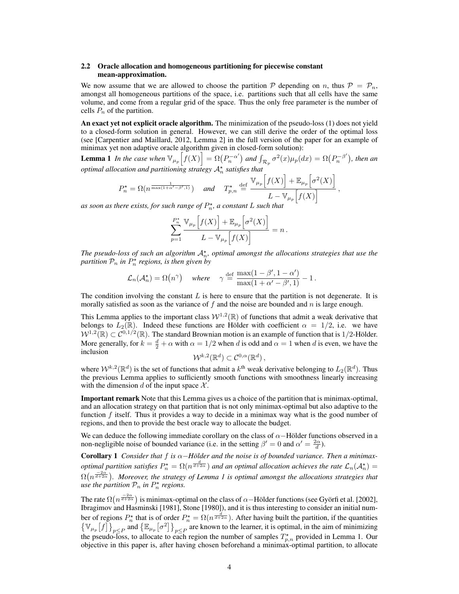### 2.2 Oracle allocation and homogeneous partitioning for piecewise constant mean-approximation.

We now assume that we are allowed to choose the partition  $P$  depending on n, thus  $P = P_n$ , amongst all homogeneous partitions of the space, i.e. partitions such that all cells have the same volume, and come from a regular grid of the space. Thus the only free parameter is the number of cells  $P_n$  of the partition.

An exact yet not explicit oracle algorithm. The minimization of the pseudo-loss (1) does not yield to a closed-form solution in general. However, we can still derive the order of the optimal loss (see [Carpentier and Maillard, 2012, Lemma 2] in the full version of the paper for an example of minimax yet non adaptive oracle algorithm given in closed-form solution):

**Lemma 1** In the case when  $\mathbb{V}_{\mu_p}\left[f(X)\right] = \Omega(P_n^{-\alpha'})$  and  $\int_{\mathcal{R}_p} \sigma^2(x) \mu_p(dx) = \Omega(P_n^{-\beta'})$ , then an optimal allocation and partitioning strategy  $\mathcal{A}_n^*$  satisfies that<br> $\mathbb{E}\left[\mathcal{L}(\mathbf{Y})\right] + \mathbb{E}\left[\mathcal{L}^2(\mathbf{Y})\right]$ 

$$
P_n^{\star} = \Omega(n^{\frac{1}{\max(1+\alpha'-\beta',1)}}) \quad \text{and} \quad T_{p,n}^{\star} \stackrel{\text{def}}{=} \frac{\mathbb{V}_{\mu_p}\left[f(X)\right] + \mathbb{E}_{\mu_p}\left[\sigma^2(X)\right]}{L - \mathbb{V}_{\mu_p}\left[f(X)\right]},
$$

as soon as there exists, for such range of  $P_n^{\star}$ , a constant L such that

$$
\sum_{p=1}^{P_n^*} \frac{\mathbb{V}_{\mu_p}\Big[f(X)\Big] + \mathbb{E}_{\mu_p}\Big[\sigma^2(X)\Big]}{L - \mathbb{V}_{\mu_p}\Big[f(X)\Big]} = n.
$$

The pseudo-loss of such an algorithm  $\mathcal{A}_{n}^{\star}$ , optimal amongst the allocations strategies that use the partition  $\mathcal{P}_n$  in  $P_n^\star$  regions, is then given by

$$
\mathcal{L}_n(\mathcal{A}_n^*) = \Omega(n^{\gamma}) \quad \text{where} \quad \gamma \stackrel{\text{def}}{=} \frac{\max(1-\beta', 1-\alpha')}{\max(1+\alpha'-\beta', 1)} - 1 \, .
$$

The condition involving the constant  $L$  is here to ensure that the partition is not degenerate. It is morally satisfied as soon as the variance of  $f$  and the noise are bounded and  $n$  is large enough.

This Lemma applies to the important class  $W^{1,2}(\mathbb{R})$  of functions that admit a weak derivative that belongs to  $L_2(\mathbb{R})$ . Indeed these functions are Hölder with coefficient  $\alpha = 1/2$ , i.e. we have  $W^{1,2}(\mathbb{R}) \subset C^{0,1/2}(\mathbb{R})$ . The standard Brownian motion is an example of function that is 1/2-Hölder. More generally, for  $k = \frac{d}{2} + \alpha$  with  $\alpha = 1/2$  when d is odd and  $\alpha = 1$  when d is even, we have the inclusion

$$
\mathcal{W}^{k,2}(\mathbb{R}^d) \subset \mathcal{C}^{0,\alpha}(\mathbb{R}^d),
$$

where  $W^{k,2}(\mathbb{R}^d)$  is the set of functions that admit a  $k^{\text{th}}$  weak derivative belonging to  $L_2(\mathbb{R}^d)$ . Thus the previous Lemma applies to sufficiently smooth functions with smoothness linearly increasing with the dimension d of the input space  $\mathcal{X}$ .

Important remark Note that this Lemma gives us a choice of the partition that is minimax-optimal, and an allocation strategy on that partition that is not only minimax-optimal but also adaptive to the function f itself. Thus it provides a way to decide in a minimax way what is the good number of regions, and then to provide the best oracle way to allocate the budget.

We can deduce the following immediate corollary on the class of  $\alpha$ −Hölder functions observed in a non-negligible noise of bounded variance (i.e. in the setting  $\beta' = 0$  and  $\alpha' = \frac{2\alpha}{d}$ ).

**Corollary 1** Consider that f is  $\alpha$ -Hölder and the noise is of bounded variance. Then a minimaxoptimal partition satisfies  $P_n^* = \Omega(n^{\frac{d}{d+2\alpha}})$  and an optimal allocation achieves the rate  $\mathcal{L}_n(\mathcal{A}_n^*) =$  $\Omega(n^{\frac{-2\alpha}{d+2\alpha}})$ . Moreover, the strategy of Lemma 1 is optimal amongst the allocations strategies that use the partition  $\mathcal{P}_n$  in  $P_n^{\star}$  regions.

The rate  $\Omega(n^{\frac{-2\alpha}{d+2\alpha}})$  is minimax-optimal on the class of  $\alpha$ -Hölder functions (see Györfi et al. [2002], Ibragimov and Hasminski [1981], Stone [1980]), and it is thus interesting to consider an initial number of regions  $P_n^*$  that is of order  $P_n^* = \Omega(n^{\frac{d}{d+2\alpha}})$ . After having built the partition, if the quantities  $\{\mathbb{V}_{\mu_p}[f]\}_{p\leq P}$  and  $\{\mathbb{E}_{\mu_p}[\sigma^2]\}_{p\leq P}$  are known to the learner, it is optimal, in the aim of minimizing the pseudo-loss, to allocate to each region the number of samples  $T_{p,n}^*$  provided in Lemma 1. Our objective in this paper is, after having chosen beforehand a minimax-optimal partition, to allocate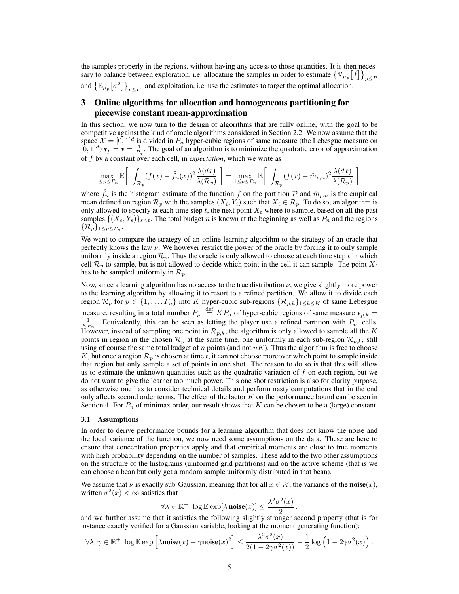the samples properly in the regions, without having any access to those quantities. It is then necessary to balance between exploration, i.e. allocating the samples in order to estimate  ${\lbrace \mathbb{V}_{\mu_p}[f] \rbrace}_{p \leq F}$ and  $\left\{\mathbb{E}_{\mu_p}[\sigma^2]\right\}_{p\leq P}$ , and exploitation, i.e. use the estimates to target the optimal allocation.

# 3 Online algorithms for allocation and homogeneous partitioning for piecewise constant mean-approximation

In this section, we now turn to the design of algorithms that are fully online, with the goal to be competitive against the kind of oracle algorithms considered in Section 2.2. We now assume that the space  $\mathcal{X} = [0, 1]^d$  is divided in  $P_n$  hyper-cubic regions of same measure (the Lebesgue measure on  $[0, 1]^d$ )  $\mathbf{v}_p = \mathbf{v} = \frac{1}{P_n}$ . The goal of an algorithm is to minimize the quadratic error of approximation of f by a constant over each cell, in expectation, which we write as

$$
\max_{1 \le p \le P_n} \mathbb{E} \left[ \int_{\mathcal{R}_p} (f(x) - \hat{f}_n(x))^2 \frac{\lambda(dx)}{\lambda(\mathcal{R}_p)} \right] = \max_{1 \le p \le P_n} \mathbb{E} \left[ \int_{\mathcal{R}_p} (f(x) - \hat{m}_{p,n})^2 \frac{\lambda(dx)}{\lambda(\mathcal{R}_p)} \right],
$$

where  $f_n$  is the histogram estimate of the function f on the partition P and  $\hat{m}_{p,n}$  is the empirical mean defined on region  $\mathcal{R}_p$  with the samples  $(X_i, Y_i)$  such that  $X_i \in \mathcal{R}_p$ . To do so, an algorithm is only allowed to specify at each time step t, the next point  $X_t$  where to sample, based on all the past samples  $\{(X_s, Y_s)\}_{s \leq t}$ . The total budget n is known at the beginning as well as  $P_n$  and the regions  $\{\mathcal{R}_p\}_{1\leq p\leq P_n}$ .

We want to compare the strategy of an online learning algorithm to the strategy of an oracle that perfectly knows the law  $\nu$ . We however restrict the power of the oracle by forcing it to only sample uniformly inside a region  $\mathcal{R}_p$ . Thus the oracle is only allowed to choose at each time step t in which cell  $\mathcal{R}_p$  to sample, but is not allowed to decide which point in the cell it can sample. The point  $X_t$ has to be sampled uniformly in  $\mathcal{R}_p$ .

Now, since a learning algorithm has no access to the true distribution  $\nu$ , we give slightly more power to the learning algorithm by allowing it to resort to a refined partition. We allow it to divide each region  $\mathcal{R}_p$  for  $p \in \{1, \ldots, P_n\}$  into K hyper-cubic sub-regions  $\{\mathcal{R}_{p,k}\}_{1 \leq k \leq K}$  of same Lebesgue measure, resulting in a total number  $P_n^+$ measure, resulting in a total number  $P_n^+ \stackrel{\text{def}}{=} KP_n$  of hyper-cubic regions of same measure  $\mathbf{v}_{p,k} = \frac{1}{KP_n}$ . Equivalently, this can be seen as letting the player use a refined partition with  $P_n^+$  cells. However, instead of sampling one point in  $\mathcal{R}_{p,k}$ , the algorithm is only allowed to sample all the K points in region in the chosen  $\mathcal{R}_p$  at the same time, one uniformly in each sub-region  $\mathcal{R}_{p,k}$ , still using of course the same total budget of  $n$  points (and not  $nK$ ). Thus the algorithm is free to choose K, but once a region  $\mathcal{R}_p$  is chosen at time t, it can not choose moreover which point to sample inside that region but only sample a set of points in one shot. The reason to do so is that this will allow us to estimate the unknown quantities such as the quadratic variation of  $f$  on each region, but we do not want to give the learner too much power. This one shot restriction is also for clarity purpose, as otherwise one has to consider technical details and perform nasty computations that in the end only affects second order terms. The effect of the factor  $K$  on the performance bound can be seen in Section 4. For  $P_n$  of minimax order, our result shows that K can be chosen to be a (large) constant.

### 3.1 Assumptions

In order to derive performance bounds for a learning algorithm that does not know the noise and the local variance of the function, we now need some assumptions on the data. These are here to ensure that concentration properties apply and that empirical moments are close to true moments with high probability depending on the number of samples. These add to the two other assumptions on the structure of the histograms (uniformed grid partitions) and on the active scheme (that is we can choose a bean but only get a random sample uniformly distributed in that bean).

We assume that  $\nu$  is exactly sub-Gaussian, meaning that for all  $x \in \mathcal{X}$ , the variance of the **noise** $(x)$ , written  $\sigma^2(x) < \infty$  satisfies that

$$
\forall \lambda \in \mathbb{R}^+ \ \log \mathbb{E} \exp[\lambda \, \textbf{noise}(x)] \le \frac{\lambda^2 \sigma^2(x)}{2}
$$

 $\forall \lambda \in \mathbb{R}^+$  log  $\mathbb{E} \exp[\lambda \textbf{noise}(x)] \leq \frac{\lambda}{2}$ ,<br>and we further assume that it satisfies the following slightly stronger second property (that is for instance exactly verified for a Gaussian variable, looking at the moment generating function):

$$
\forall \lambda, \gamma \in \mathbb{R}^+ \ \log \mathbb{E} \exp \left[ \lambda \textbf{noise}(x) + \gamma \textbf{noise}(x)^2 \right] \leq \frac{\lambda^2 \sigma^2(x)}{2(1 - 2\gamma \sigma^2(x))} - \frac{1}{2} \log \left( 1 - 2\gamma \sigma^2(x) \right).
$$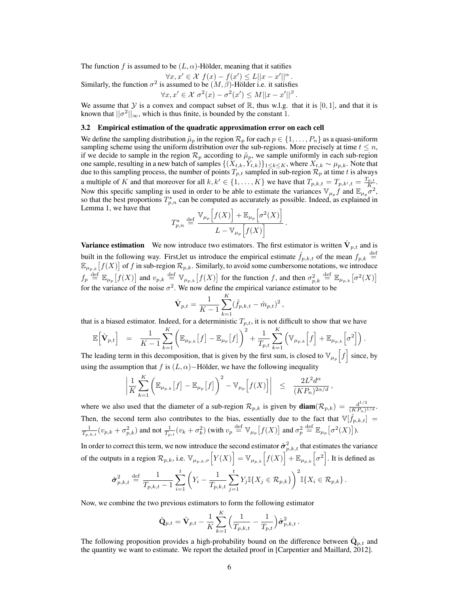The function f is assumed to be  $(L, \alpha)$ -Hölder, meaning that it satifies

Similarly, the function 
$$
\sigma^2
$$
 is assumed to be  $(M, \beta)$ -Hölder i.e. it satisfies  
\n $\forall x, x' \in \mathcal{X}$   $f(x) - f(x') \le L||x - x'||^{\alpha}$ .  
\n $\forall x, x' \in \mathcal{X}$   $\sigma^2(x) - \sigma^2(x') \le M||x - x'||^{\beta}$ .

We assume that Y is a convex and compact subset of R, thus w.l.g. that it is [0, 1], and that it is known that  $||\sigma^2||_{\infty}$ , which is thus finite, is bounded by the constant 1.

#### 3.2 Empirical estimation of the quadratic approximation error on each cell

We define the sampling distribution  $\tilde{\mu}_p$  in the region  $\mathcal{R}_p$  for each  $p \in \{1, \ldots, P_n\}$  as a quasi-uniform sampling scheme using the uniform distribution over the sub-regions. More precisely at time  $t \leq n$ , if we decide to sample in the region  $\mathcal{R}_p$  according to  $\tilde{\mu}_p$ , we sample uniformly in each sub-region one sample, resulting in a new batch of samples  $\{(X_{t,k}, Y_{t,k})\}_{1\leq k\leq K}$ , where  $X_{t,k} \sim \mu_{p,k}$ . Note that due to this sampling process, the number of points  $T_{p,t}$  sampled in sub-region  $\mathcal{R}_p$  at time t is always a multiple of K and that moreover for all  $k, k' \in \{1, ..., K\}$  we have that  $T_{p,k,t} = T_{p,k',t} = \frac{T_{p,t}}{K}$ . Now this specific sampling is used in order to be able to estimate the variances  $\mathbb{V}_{\mu_p}f$  and  $\mathbb{E}_{\mu_p}\sigma^2$ , so that the best proportions  $T_{p,n}^*$  can be computed as accurately as possible. Indeed, as explained in Lemma 1, we have that

$$
T_{p,n}^{\star} \stackrel{\text{def}}{=} \frac{\mathbb{V}_{\mu_p}\Big[f(X)\Big] + \mathbb{E}_{\mu_p}\Big[\sigma^2(X)\Big]}{L - \mathbb{V}_{\mu_p}\Big[f(X)\Big]}.
$$

**Variance estimation** We now introduce two estimators. The first estimator is written  $\dot{\mathbf{V}}_{p,t}$  and is built in the following way. First, let us introduce the empirical estimate  $\hat{f}_{p,k,t}$  of the mean  $f_{p,k} \stackrel{\text{def}}{=}$  $\mathbb{E}_{\mu_{p,k}}[f(X)]$  of f in sub-region  $\mathcal{R}_{p,k}$ . Similarly, to avoid some cumbersome notations, we introduce  $f_p \stackrel{\text{def}}{=} \mathbb{E}_{\mu_p}[f(X)]$  and  $v_{p,k} \stackrel{\text{def}}{=} \mathbb{V}_{\mu_{p,k}}[f(X)]$  for the function f, and then  $\sigma_{p,k}^2$  $\stackrel{\text{def}}{=} \mathbb{E}_{\mu_{p,k}}\big[\sigma^2(X)\big]$ for the variance of the noise  $\sigma^2$ . We now define the empirical variance estimator to be

$$
\hat{\mathbf{V}}_{p,t} = \frac{1}{K-1} \sum_{k=1}^{K} (\hat{f}_{p,k,t} - \hat{m}_{p,t})^2,
$$

that is a biased estimator. Indeed, for a deterministic  $T_{p,t}$ , it is not difficult to show that we have

$$
\mathbb{E}\Big[\hat{\mathbf{V}}_{p,t}\Big] = \frac{1}{K-1}\sum_{k=1}^{K}\bigg(\mathbb{E}_{\mu_{p,k}}[f] - \mathbb{E}_{\mu_p}[f]\bigg)^2 + \frac{1}{T_{p,t}}\sum_{k=1}^{K}\Big(\mathbb{V}_{\mu_{p,k}}\Big[f\Big] + \mathbb{E}_{\mu_{p,k}}\Big[\sigma^2\Big]\Big).
$$

The leading term in this decomposition, that is given by the first sum, is closed to  $\mathbb{V}_{\mu_p}[f]$  since, by using the assumption that f is  $(L, \alpha)$ −Hölder, we have the following inequality

$$
\left|\frac{1}{K}\sum_{k=1}^K\left(\mathbb{E}_{\mu_{p,k}}[f]-\mathbb{E}_{\mu_p}[f]\right)^2-\mathbb{V}_{\mu_p}\Big[f(X)\Big]\right| \leq \frac{2L^2d^{\alpha}}{(KP_n)^{2\alpha/d}},
$$

where we also used that the diameter of a sub-region  $\mathcal{R}_{p,k}$  is given by  $\text{diam}(\mathcal{R}_{p,k}) = \frac{d^{1/2}}{(KP_n)^{1/d}}$ . Then, the second term also contributes to the bias, essentially due to the fact that  $\mathbb{V}[\hat{f}_{p,k,t}] =$  $\frac{1}{T_{p,k,t}}(v_{p,k}+\sigma_{p,k}^2)$  and not  $\frac{1}{T_{p,t}}(v_k+\sigma_k^2)$  (with  $v_p\stackrel{\rm def}{=} \mathbb{V}_{\mu_p}\big[f(X)\big]$  and  $\sigma_p^2$  $\stackrel{\text{def}}{=} \mathbb{E}_{\mu_p}[\sigma^2(X)]$ ).

In order to correct this term, we now introduce the second estimator  $\hat{\sigma}^2_{p,k,t}$  that estimates the variance of the outputs in a region  $\mathcal{R}_{p,k}$ , i.e.  $\mathbb{V}_{\mu_{p,k},\nu} \Big[ Y(X) \Big] = \mathbb{V}_{\mu_{p,k}} \Big[ f(X) \Big] + \mathbb{E}_{\mu_{p,k}} \Big[ \sigma^2 \Big]$ . It is defined as

$$
\hat{\sigma}_{p,k,t}^2 \stackrel{\text{def}}{=} \frac{1}{T_{p,k,t}-1} \sum_{i=1}^t \left( Y_i - \frac{1}{T_{p,k,t}} \sum_{j=1}^t Y_j \mathbb{I}\{X_j \in \mathcal{R}_{p,k}\} \right)^2 \mathbb{I}\{X_i \in \mathcal{R}_{p,k}\}.
$$

Now, we combine the two previous estimators to form the following estimator

$$
\hat{\mathbf{Q}}_{p,t} = \hat{\mathbf{V}}_{p,t} - \frac{1}{K} \sum_{k=1}^{K} \Big( \frac{1}{T_{p,k,t}} - \frac{1}{T_{p,t}} \Big) \hat{\sigma}_{p,k,t}^2.
$$

The following proposition provides a high-probability bound on the difference between  $\mathbf{Q}_{p,t}$  and the quantity we want to estimate. We report the detailed proof in [Carpentier and Maillard, 2012].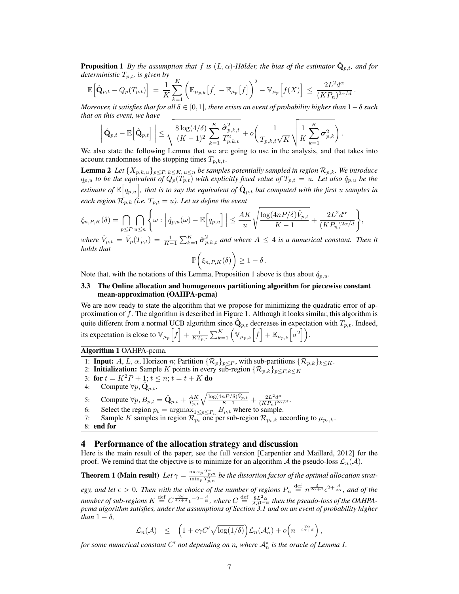**Proposition 1** By the assumption that f is  $(L, \alpha)$ -Hölder, the bias of the estimator  $\dot{Q}_{n,t}$ , and for deterministic  $T_{p,t}$ , is given by

$$
\mathbb{E}\Big[\hat{\mathbf{Q}}_{p,t}-Q_p(T_{p,t})\Big] = \frac{1}{K}\sum_{k=1}^K \left(\mathbb{E}_{\mu_{p,k}}\big[f\big] - \mathbb{E}_{\mu_p}\big[f\big]\right)^2 - \mathbb{V}_{\mu_p}\Big[f(X)\Big] \leq \frac{2L^2d^{\alpha}}{(KP_n)^{2\alpha/d}}.
$$

Moreover, it satisfies that for all  $\delta \in [0,1]$ , there exists an event of probability higher than  $1-\delta$  such that on this event, we have

$$
\left|\hat{\mathbf{Q}}_{p,t} - \mathbb{E}\Big[\hat{\mathbf{Q}}_{p,t}\Big]\right| \leq \sqrt{\frac{8\log(4/\delta)}{(K-1)^2}\sum_{k=1}^K \frac{\hat{\sigma}_{p,k,t}^2}{T_{p,k,t}^2}} + o\left(\frac{1}{T_{p,k,t}\sqrt{K}}\sqrt{\frac{1}{K}\sum_{k=1}^K \sigma_{p,k}^2}\right).
$$

We also state the following Lemma that we are going to use in the analysis, and that takes into account randomness of the stopping times  $T_{p,k,t}$ .

**Lemma 2** Let  $\{X_{p,k,u}\}_{p\leq P,\,k\leq K,\,u\leq n}$  be samples potentially sampled in region  $\mathcal{R}_{p,k}$ . We introduce  $q_{p,u}$  to be the equivalent of  $Q_p(T_{p,t})$  with explicitly fixed value of  $T_{p,t} = u$ . Let also  $\hat{q}_{p,u}$  be the estimate of  $\mathbb{E}\left[q_{p,u}\right]$ , that is to say the equivalent of  $\hat{\mathbf{Q}}_{p,t}$  but computed with the first u samples in each region  $\mathcal{R}_{p,k}$  (i.e.  $T_{p,t} = u$ ). Let us define the event

$$
\xi_{n,P,K}(\delta) = \bigcap_{p \leq P} \bigcap_{u \leq n} \left\{ \omega : \left| \hat{q}_{p,u}(\omega) - \mathbb{E}\Big[q_{p,u}\Big] \right| \leq \frac{AK}{u} \sqrt{\frac{\log(4nP/\delta)\hat{V}_{p,t}}{K-1}} + \frac{2L^2d^{\alpha}}{(KP_n)^{2\alpha/d}} \right\},
$$

where  $\hat{V}_{p,t} = \hat{V}_p(T_{p,t}) = \frac{1}{K-1} \sum_{k=1}^K \hat{\sigma}_{p,k,t}^2$  and where  $A \leq 4$  is a numerical constant. Then it holds that

$$
\mathbb{P}\bigg(\xi_{n,P,K}(\delta)\bigg) \geq 1-\delta.
$$

Note that, with the notations of this Lemma, Proposition 1 above is thus about  $\hat{q}_{p,u}$ .

### 3.3 The Online allocation and homogeneous partitioning algorithm for piecewise constant mean-approximation (OAHPA-pcma)

We are now ready to state the algorithm that we propose for minimizing the quadratic error of approximation of  $f$ . The algorithm is described in Figure 1. Although it looks similar, this algorithm is quite different from a normal UCB algorithm since  $\hat{\mathbf{Q}}_{p,t}$  decreases in expectation with  $T_{p,t}.$  Indeed, its expectation is close to  $\mathbb{V}_{\mu_p}\left[f\right] + \frac{1}{KT_{p,t}}\sum_{k=1}^K \left(\mathbb{V}_{\mu_{p,k}}\left[f\right] + \mathbb{E}_{\mu_{p,k}}\left[\sigma^2\right]\right).$ 

### Algorithm 1 OAHPA-pcma.

- 1: **Input:** A, L,  $\alpha$ , Horizon n; Partition  $\{\mathcal{R}_p\}_{p\leq P}$ , with sub-partitions  $\{\mathcal{R}_{p,k}\}_{k\leq K}$ .
- 2: Initialization: Sample K points in every sub-region  $\{\mathcal{R}_{p,k}\}_{p\leq P,k\leq K}$
- 3: for  $t = K^2 P + 1$ ;  $t \le n$ ;  $t = t + K$  do<br>4: Compute  $\forall p, \hat{Q}_{n,t}$ .
- Compute  $\forall p, \mathbf{Q}_{p,t}$ .
- 5: Compute  $\forall p, B_{p,t} = \hat{\mathbf{Q}}_{p,t} + \frac{AK}{T_{p,t}} \sqrt{\frac{\log(4nP/\delta)\hat{V}_{p,t}}{K-1}} + \frac{2L^2d^{\alpha}}{(KP_n)^{2\alpha/d}}.$
- 6: Select the region  $p_t = \arg \max_{1 \leq p \leq P_n} B_{p,t}$  where to sample.
- 7: Sample K samples in region  $\mathcal{R}_{p_t}$  one per sub-region  $\mathcal{R}_{p_t,k}$  according to  $\mu_{p_t,k}$ .
- 8: end for

### 4 Performance of the allocation strategy and discussion

Here is the main result of the paper; see the full version [Carpentier and Maillard, 2012] for the proof. We remind that the objective is to minimize for an algorithm A the pseudo-loss  $\mathcal{L}_n(\mathcal{A})$ .

**Theorem 1 (Main result)** Let  $\gamma = \frac{\max_p T^*_{p,n}}{\min_p T^*_{p,n}}$  be the distortion factor of the optimal allocation strategy, and let  $\epsilon > 0$ . Then with the choice of the number of regions  $P_n \stackrel{\text{def}}{=} n^{\frac{d}{2\alpha+d}} \epsilon^{2+\frac{d}{2\alpha}}$ , and of the number of sub-regions  $K \stackrel{\text{def}}{=} C^{\frac{2d}{4\alpha+d}} \epsilon^{-2-\frac{d}{\alpha}}$ , where  $C \stackrel{\text{def}}{=} \frac{8L^2\alpha}{Ad^{1-\alpha}}$  then the pseudo-loss of the OAHPApcma algorithm satisfies, under the assumptions of Section 3.1 and on an event of probability higher than  $1 - \delta$ ,

$$
\mathcal{L}_n(\mathcal{A}) \leq \left(1 + \epsilon \gamma C' \sqrt{\log(1/\delta)}\right) \mathcal{L}_n(\mathcal{A}_n^*) + o\left(n^{-\frac{2\alpha}{2\alpha + d}}\right),
$$

for some numerical constant  $C'$  not depending on n, where  $\mathcal{A}_n^{\star}$  is the oracle of Lemma 1.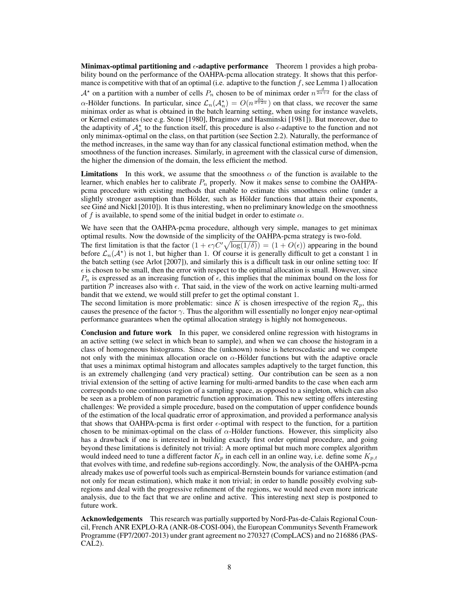Minimax-optimal partitioning and  $\epsilon$ -adaptive performance Theorem 1 provides a high probability bound on the performance of the OAHPA-pcma allocation strategy. It shows that this performance is competitive with that of an optimal (i.e. adaptive to the function f, see Lemma 1) allocation  $\mathcal{A}^*$  on a partition with a number of cells  $P_n$  chosen to be of minimax order  $n^{\frac{d}{2\alpha+d}}$  for the class of  $\alpha$ -Hölder functions. In particular, since  $\mathcal{L}_n(\mathcal{A}_n^*) = O(n^{\frac{2\alpha}{d+2\alpha}})$  on that class, we recover the same minimax order as what is obtained in the batch learning setting, when using for instance wavelets, or Kernel estimates (see e.g. Stone [1980], Ibragimov and Hasminski [1981]). But moreover, due to the adaptivity of  $A_n^*$  to the function itself, this procedure is also  $\epsilon$ -adaptive to the function and not only minimax-optimal on the class, on that partition (see Section 2.2). Naturally, the performance of the method increases, in the same way than for any classical functional estimation method, when the smoothness of the function increases. Similarly, in agreement with the classical curse of dimension, the higher the dimension of the domain, the less efficient the method.

**Limitations** In this work, we assume that the smoothness  $\alpha$  of the function is available to the learner, which enables her to calibrate  $P_n$  properly. Now it makes sense to combine the OAHPApcma procedure with existing methods that enable to estimate this smoothness online (under a slightly stronger assumption than Hölder, such as Hölder functions that attain their exponents, see Gine and Nickl [2010]). It is thus interesting, when no preliminary knowledge on the smoothness of f is available, to spend some of the initial budget in order to estimate  $\alpha$ .

We have seen that the OAHPA-pcma procedure, although very simple, manages to get minimax optimal results. Now the downside of the simplicity of the OAHPA-pcma strategy is two-fold.

The first limitation is that the factor  $(1 + \epsilon \gamma C' \sqrt{\log(1/\delta)}) = (1 + O(\epsilon))$  appearing in the bound before  $\mathcal{L}_n(\mathcal{A}^*)$  is not 1, but higher than 1. Of course it is generally difficult to get a constant 1 in the batch setting (see Arlot [2007]), and similarly this is a difficult task in our online setting too: If  $\epsilon$  is chosen to be small, then the error with respect to the optimal allocation is small. However, since  $P_n$  is expressed as an increasing function of  $\epsilon$ , this implies that the minimax bound on the loss for partition  $P$  increases also with  $\epsilon$ . That said, in the view of the work on active learning multi-armed bandit that we extend, we would still prefer to get the optimal constant 1.

The second limitation is more problematic: since K is chosen irrespective of the region  $\mathcal{R}_p$ , this causes the presence of the factor  $\gamma$ . Thus the algorithm will essentially no longer enjoy near-optimal performance guarantees when the optimal allocation strategy is highly not homogeneous.

Conclusion and future work In this paper, we considered online regression with histograms in an active setting (we select in which bean to sample), and when we can choose the histogram in a class of homogeneous histograms. Since the (unknown) noise is heteroscedastic and we compete not only with the minimax allocation oracle on  $\alpha$ -Hölder functions but with the adaptive oracle that uses a minimax optimal histogram and allocates samples adaptively to the target function, this is an extremely challenging (and very practical) setting. Our contribution can be seen as a non trivial extension of the setting of active learning for multi-armed bandits to the case when each arm corresponds to one continuous region of a sampling space, as opposed to a singleton, which can also be seen as a problem of non parametric function approximation. This new setting offers interesting challenges: We provided a simple procedure, based on the computation of upper confidence bounds of the estimation of the local quadratic error of approximation, and provided a performance analysis that shows that OAHPA-pcma is first order  $\epsilon$ -optimal with respect to the function, for a partition chosen to be minimax-optimal on the class of  $\alpha$ -Hölder functions. However, this simplicity also has a drawback if one is interested in building exactly first order optimal procedure, and going beyond these limitations is definitely not trivial: A more optimal but much more complex algorithm would indeed need to tune a different factor  $K_p$  in each cell in an online way, i.e. define some  $K_{p,t}$ that evolves with time, and redefine sub-regions accordingly. Now, the analysis of the OAHPA-pcma already makes use of powerful tools such as empirical-Bernstein bounds for variance estimation (and not only for mean estimation), which make it non trivial; in order to handle possibly evolving subregions and deal with the progressive refinement of the regions, we would need even more intricate analysis, due to the fact that we are online and active. This interesting next step is postponed to future work.

Acknowledgements This research was partially supported by Nord-Pas-de-Calais Regional Council, French ANR EXPLO-RA (ANR-08-COSI-004), the European Communitys Seventh Framework Programme (FP7/2007-2013) under grant agreement no 270327 (CompLACS) and no 216886 (PAS-CAL2).